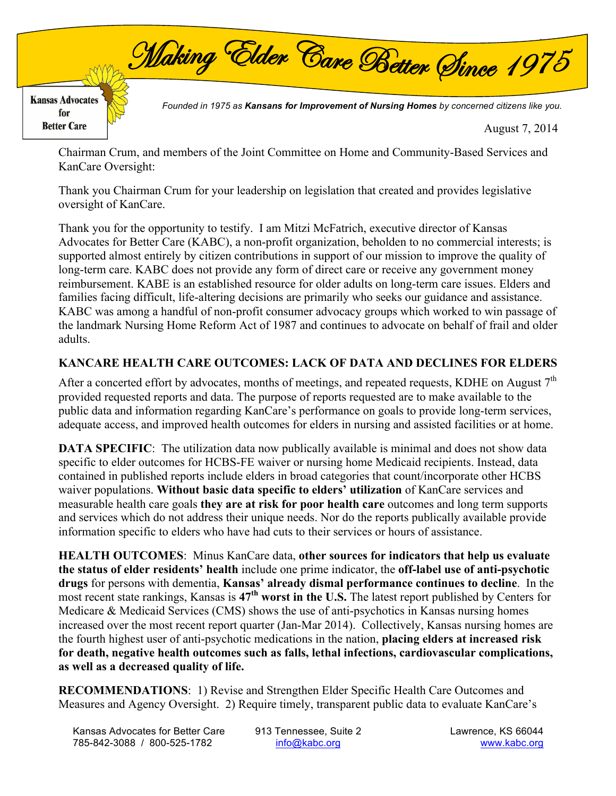

August 7, 2014

Chairman Crum, and members of the Joint Committee on Home and Community-Based Services and KanCare Oversight:

Thank you Chairman Crum for your leadership on legislation that created and provides legislative oversight of KanCare.

Thank you for the opportunity to testify. I am Mitzi McFatrich, executive director of Kansas Advocates for Better Care (KABC), a non-profit organization, beholden to no commercial interests; is supported almost entirely by citizen contributions in support of our mission to improve the quality of long-term care. KABC does not provide any form of direct care or receive any government money reimbursement. KABE is an established resource for older adults on long-term care issues. Elders and families facing difficult, life-altering decisions are primarily who seeks our guidance and assistance. KABC was among a handful of non-profit consumer advocacy groups which worked to win passage of the landmark Nursing Home Reform Act of 1987 and continues to advocate on behalf of frail and older adults.

## **KANCARE HEALTH CARE OUTCOMES: LACK OF DATA AND DECLINES FOR ELDERS**

After a concerted effort by advocates, months of meetings, and repeated requests, KDHE on August  $7<sup>th</sup>$ provided requested reports and data. The purpose of reports requested are to make available to the public data and information regarding KanCare's performance on goals to provide long-term services, adequate access, and improved health outcomes for elders in nursing and assisted facilities or at home.

**DATA SPECIFIC:** The utilization data now publically available is minimal and does not show data specific to elder outcomes for HCBS-FE waiver or nursing home Medicaid recipients. Instead, data contained in published reports include elders in broad categories that count/incorporate other HCBS waiver populations. **Without basic data specific to elders' utilization** of KanCare services and measurable health care goals **they are at risk for poor health care** outcomes and long term supports and services which do not address their unique needs. Nor do the reports publically available provide information specific to elders who have had cuts to their services or hours of assistance.

**HEALTH OUTCOMES**: Minus KanCare data, **other sources for indicators that help us evaluate the status of elder residents' health** include one prime indicator, the **off-label use of anti-psychotic drugs** for persons with dementia, **Kansas' already dismal performance continues to decline**. In the most recent state rankings, Kansas is **47th worst in the U.S.** The latest report published by Centers for Medicare & Medicaid Services (CMS) shows the use of anti-psychotics in Kansas nursing homes increased over the most recent report quarter (Jan-Mar 2014). Collectively, Kansas nursing homes are the fourth highest user of anti-psychotic medications in the nation, **placing elders at increased risk for death, negative health outcomes such as falls, lethal infections, cardiovascular complications, as well as a decreased quality of life.**

**RECOMMENDATIONS**: 1) Revise and Strengthen Elder Specific Health Care Outcomes and Measures and Agency Oversight. 2) Require timely, transparent public data to evaluate KanCare's

Kansas Advocates for Better Care (913 Tennessee, Suite 2 Lawrence, KS 66044 785-842-3088 / 800-525-1782 info@kabc.org www.kabc.org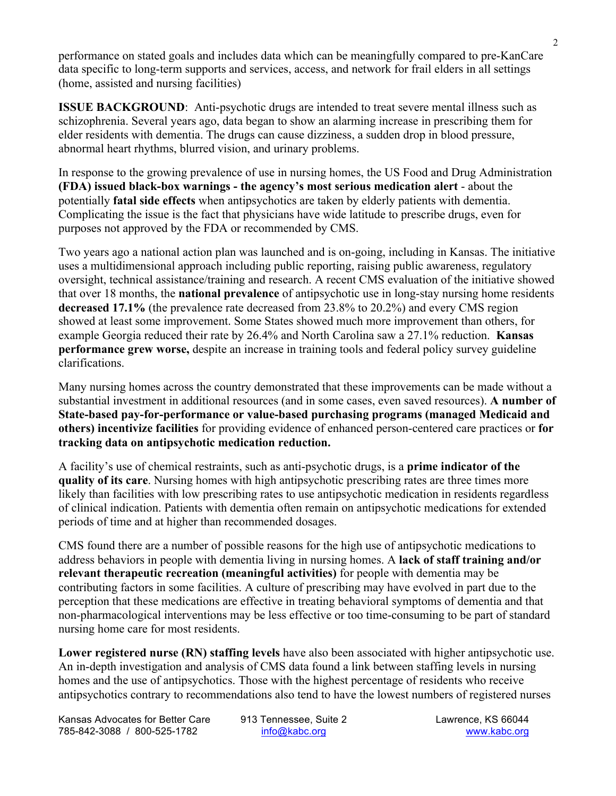performance on stated goals and includes data which can be meaningfully compared to pre-KanCare data specific to long-term supports and services, access, and network for frail elders in all settings (home, assisted and nursing facilities)

**ISSUE BACKGROUND**: Anti-psychotic drugs are intended to treat severe mental illness such as schizophrenia. Several years ago, data began to show an alarming increase in prescribing them for elder residents with dementia. The drugs can cause dizziness, a sudden drop in blood pressure, abnormal heart rhythms, blurred vision, and urinary problems.

In response to the growing prevalence of use in nursing homes, the US Food and Drug Administration **(FDA) issued black-box warnings - the agency's most serious medication alert** - about the potentially **fatal side effects** when antipsychotics are taken by elderly patients with dementia. Complicating the issue is the fact that physicians have wide latitude to prescribe drugs, even for purposes not approved by the FDA or recommended by CMS.

Two years ago a national action plan was launched and is on-going, including in Kansas. The initiative uses a multidimensional approach including public reporting, raising public awareness, regulatory oversight, technical assistance/training and research. A recent CMS evaluation of the initiative showed that over 18 months, the **national prevalence** of antipsychotic use in long-stay nursing home residents **decreased 17.1%** (the prevalence rate decreased from 23.8% to 20.2%) and every CMS region showed at least some improvement. Some States showed much more improvement than others, for example Georgia reduced their rate by 26.4% and North Carolina saw a 27.1% reduction. **Kansas performance grew worse,** despite an increase in training tools and federal policy survey guideline clarifications.

Many nursing homes across the country demonstrated that these improvements can be made without a substantial investment in additional resources (and in some cases, even saved resources). **A number of State-based pay-for-performance or value-based purchasing programs (managed Medicaid and others) incentivize facilities** for providing evidence of enhanced person-centered care practices or **for tracking data on antipsychotic medication reduction.**

A facility's use of chemical restraints, such as anti-psychotic drugs, is a **prime indicator of the quality of its care**. Nursing homes with high antipsychotic prescribing rates are three times more likely than facilities with low prescribing rates to use antipsychotic medication in residents regardless of clinical indication. Patients with dementia often remain on antipsychotic medications for extended periods of time and at higher than recommended dosages.

CMS found there are a number of possible reasons for the high use of antipsychotic medications to address behaviors in people with dementia living in nursing homes. A **lack of staff training and/or relevant therapeutic recreation (meaningful activities)** for people with dementia may be contributing factors in some facilities. A culture of prescribing may have evolved in part due to the perception that these medications are effective in treating behavioral symptoms of dementia and that non-pharmacological interventions may be less effective or too time-consuming to be part of standard nursing home care for most residents.

**Lower registered nurse (RN) staffing levels** have also been associated with higher antipsychotic use. An in-depth investigation and analysis of CMS data found a link between staffing levels in nursing homes and the use of antipsychotics. Those with the highest percentage of residents who receive antipsychotics contrary to recommendations also tend to have the lowest numbers of registered nurses